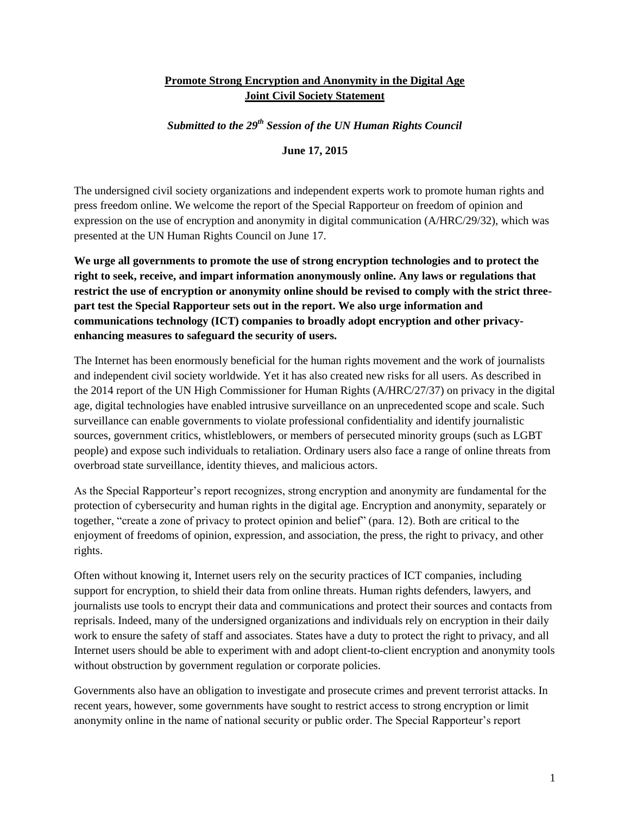# **Promote Strong Encryption and Anonymity in the Digital Age Joint Civil Society Statement**

# *Submitted to the 29th Session of the UN Human Rights Council*

### **June 17, 2015**

The undersigned civil society organizations and independent experts work to promote human rights and press freedom online. We welcome the report of the Special Rapporteur on freedom of opinion and expression on the use of encryption and anonymity in digital communication (A/HRC/29/32), which was presented at the UN Human Rights Council on June 17.

**We urge all governments to promote the use of strong encryption technologies and to protect the right to seek, receive, and impart information anonymously online. Any laws or regulations that restrict the use of encryption or anonymity online should be revised to comply with the strict threepart test the Special Rapporteur sets out in the report. We also urge information and communications technology (ICT) companies to broadly adopt encryption and other privacyenhancing measures to safeguard the security of users.** 

The Internet has been enormously beneficial for the human rights movement and the work of journalists and independent civil society worldwide. Yet it has also created new risks for all users. As described in the 2014 report of the UN High Commissioner for Human Rights (A/HRC/27/37) on privacy in the digital age, digital technologies have enabled intrusive surveillance on an unprecedented scope and scale. Such surveillance can enable governments to violate professional confidentiality and identify journalistic sources, government critics, whistleblowers, or members of persecuted minority groups (such as LGBT people) and expose such individuals to retaliation. Ordinary users also face a range of online threats from overbroad state surveillance, identity thieves, and malicious actors.

As the Special Rapporteur's report recognizes, strong encryption and anonymity are fundamental for the protection of cybersecurity and human rights in the digital age. Encryption and anonymity, separately or together, "create a zone of privacy to protect opinion and belief" (para. 12). Both are critical to the enjoyment of freedoms of opinion, expression, and association, the press, the right to privacy, and other rights.

Often without knowing it, Internet users rely on the security practices of ICT companies, including support for encryption, to shield their data from online threats. Human rights defenders, lawyers, and journalists use tools to encrypt their data and communications and protect their sources and contacts from reprisals. Indeed, many of the undersigned organizations and individuals rely on encryption in their daily work to ensure the safety of staff and associates. States have a duty to protect the right to privacy, and all Internet users should be able to experiment with and adopt client-to-client encryption and anonymity tools without obstruction by government regulation or corporate policies.

Governments also have an obligation to investigate and prosecute crimes and prevent terrorist attacks. In recent years, however, some governments have sought to restrict access to strong encryption or limit anonymity online in the name of national security or public order. The Special Rapporteur's report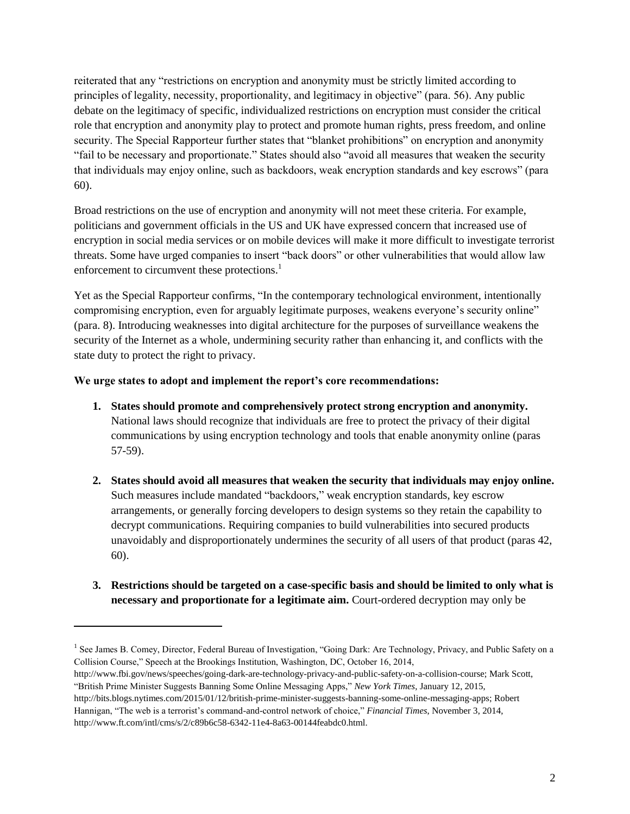reiterated that any "restrictions on encryption and anonymity must be strictly limited according to principles of legality, necessity, proportionality, and legitimacy in objective" (para. 56). Any public debate on the legitimacy of specific, individualized restrictions on encryption must consider the critical role that encryption and anonymity play to protect and promote human rights, press freedom, and online security. The Special Rapporteur further states that "blanket prohibitions" on encryption and anonymity "fail to be necessary and proportionate." States should also "avoid all measures that weaken the security that individuals may enjoy online, such as backdoors, weak encryption standards and key escrows" (para 60).

Broad restrictions on the use of encryption and anonymity will not meet these criteria. For example, politicians and government officials in the US and UK have expressed concern that increased use of encryption in social media services or on mobile devices will make it more difficult to investigate terrorist threats. Some have urged companies to insert "back doors" or other vulnerabilities that would allow law enforcement to circumvent these protections.<sup>1</sup>

Yet as the Special Rapporteur confirms, "In the contemporary technological environment, intentionally compromising encryption, even for arguably legitimate purposes, weakens everyone's security online" (para. 8). Introducing weaknesses into digital architecture for the purposes of surveillance weakens the security of the Internet as a whole, undermining security rather than enhancing it, and conflicts with the state duty to protect the right to privacy.

## **We urge states to adopt and implement the report's core recommendations:**

 $\overline{\phantom{a}}$ 

- **1. States should promote and comprehensively protect strong encryption and anonymity.**  National laws should recognize that individuals are free to protect the privacy of their digital communications by using encryption technology and tools that enable anonymity online (paras 57-59).
- **2. States should avoid all measures that weaken the security that individuals may enjoy online.** Such measures include mandated "backdoors," weak encryption standards, key escrow arrangements, or generally forcing developers to design systems so they retain the capability to decrypt communications. Requiring companies to build vulnerabilities into secured products unavoidably and disproportionately undermines the security of all users of that product (paras 42, 60).
- **3. Restrictions should be targeted on a case-specific basis and should be limited to only what is necessary and proportionate for a legitimate aim.** Court-ordered decryption may only be

<sup>&</sup>lt;sup>1</sup> See James B. Comey, Director, Federal Bureau of Investigation, "Going Dark: Are Technology, Privacy, and Public Safety on a Collision Course," Speech at the Brookings Institution, Washington, DC, October 16, 2014,

http://www.fbi.gov/news/speeches/going-dark-are-technology-privacy-and-public-safety-on-a-collision-course; Mark Scott, "British Prime Minister Suggests Banning Some Online Messaging Apps," *New York Times*, January 12, 2015,

http://bits.blogs.nytimes.com/2015/01/12/british-prime-minister-suggests-banning-some-online-messaging-apps; Robert Hannigan, "The web is a terrorist's command-and-control network of choice," *Financial Times*, November 3, 2014, http://www.ft.com/intl/cms/s/2/c89b6c58-6342-11e4-8a63-00144feabdc0.html.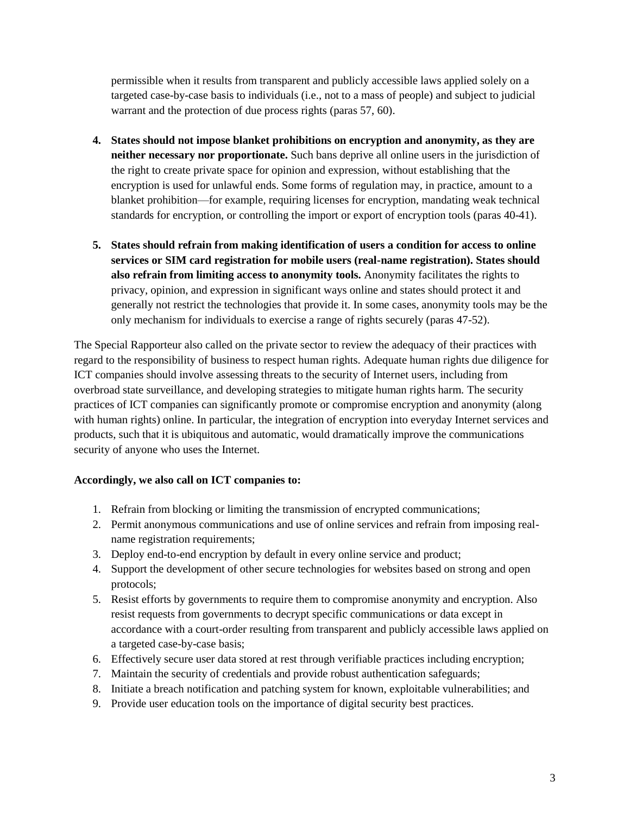permissible when it results from transparent and publicly accessible laws applied solely on a targeted case-by-case basis to individuals (i.e., not to a mass of people) and subject to judicial warrant and the protection of due process rights (paras 57, 60).

- **4. States should not impose blanket prohibitions on encryption and anonymity, as they are neither necessary nor proportionate.** Such bans deprive all online users in the jurisdiction of the right to create private space for opinion and expression, without establishing that the encryption is used for unlawful ends. Some forms of regulation may, in practice, amount to a blanket prohibition—for example, requiring licenses for encryption, mandating weak technical standards for encryption, or controlling the import or export of encryption tools (paras 40-41).
- **5. States should refrain from making identification of users a condition for access to online services or SIM card registration for mobile users (real-name registration). States should also refrain from limiting access to anonymity tools.** Anonymity facilitates the rights to privacy, opinion, and expression in significant ways online and states should protect it and generally not restrict the technologies that provide it. In some cases, anonymity tools may be the only mechanism for individuals to exercise a range of rights securely (paras 47-52).

The Special Rapporteur also called on the private sector to review the adequacy of their practices with regard to the responsibility of business to respect human rights. Adequate human rights due diligence for ICT companies should involve assessing threats to the security of Internet users, including from overbroad state surveillance, and developing strategies to mitigate human rights harm. The security practices of ICT companies can significantly promote or compromise encryption and anonymity (along with human rights) online. In particular, the integration of encryption into everyday Internet services and products, such that it is ubiquitous and automatic, would dramatically improve the communications security of anyone who uses the Internet.

## **Accordingly, we also call on ICT companies to:**

- 1. Refrain from blocking or limiting the transmission of encrypted communications;
- 2. Permit anonymous communications and use of online services and refrain from imposing realname registration requirements;
- 3. Deploy end-to-end encryption by default in every online service and product;
- 4. Support the development of other secure technologies for websites based on strong and open protocols;
- 5. Resist efforts by governments to require them to compromise anonymity and encryption. Also resist requests from governments to decrypt specific communications or data except in accordance with a court-order resulting from transparent and publicly accessible laws applied on a targeted case-by-case basis;
- 6. Effectively secure user data stored at rest through verifiable practices including encryption;
- 7. Maintain the security of credentials and provide robust authentication safeguards;
- 8. Initiate a breach notification and patching system for known, exploitable vulnerabilities; and
- 9. Provide user education tools on the importance of digital security best practices.